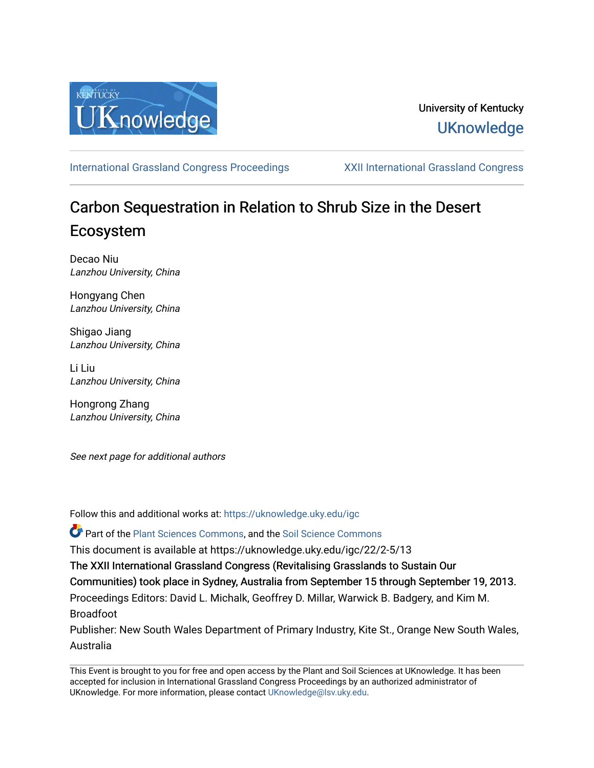

## University of Kentucky **UKnowledge**

[International Grassland Congress Proceedings](https://uknowledge.uky.edu/igc) [XXII International Grassland Congress](https://uknowledge.uky.edu/igc/22) 

# Carbon Sequestration in Relation to Shrub Size in the Desert Ecosystem

Decao Niu Lanzhou University, China

Hongyang Chen Lanzhou University, China

Shigao Jiang Lanzhou University, China

Li Liu Lanzhou University, China

Hongrong Zhang Lanzhou University, China

See next page for additional authors

Follow this and additional works at: [https://uknowledge.uky.edu/igc](https://uknowledge.uky.edu/igc?utm_source=uknowledge.uky.edu%2Figc%2F22%2F2-5%2F13&utm_medium=PDF&utm_campaign=PDFCoverPages) 

Part of the [Plant Sciences Commons](http://network.bepress.com/hgg/discipline/102?utm_source=uknowledge.uky.edu%2Figc%2F22%2F2-5%2F13&utm_medium=PDF&utm_campaign=PDFCoverPages), and the [Soil Science Commons](http://network.bepress.com/hgg/discipline/163?utm_source=uknowledge.uky.edu%2Figc%2F22%2F2-5%2F13&utm_medium=PDF&utm_campaign=PDFCoverPages) 

This document is available at https://uknowledge.uky.edu/igc/22/2-5/13

The XXII International Grassland Congress (Revitalising Grasslands to Sustain Our

Communities) took place in Sydney, Australia from September 15 through September 19, 2013.

Proceedings Editors: David L. Michalk, Geoffrey D. Millar, Warwick B. Badgery, and Kim M. Broadfoot

Publisher: New South Wales Department of Primary Industry, Kite St., Orange New South Wales, Australia

This Event is brought to you for free and open access by the Plant and Soil Sciences at UKnowledge. It has been accepted for inclusion in International Grassland Congress Proceedings by an authorized administrator of UKnowledge. For more information, please contact [UKnowledge@lsv.uky.edu](mailto:UKnowledge@lsv.uky.edu).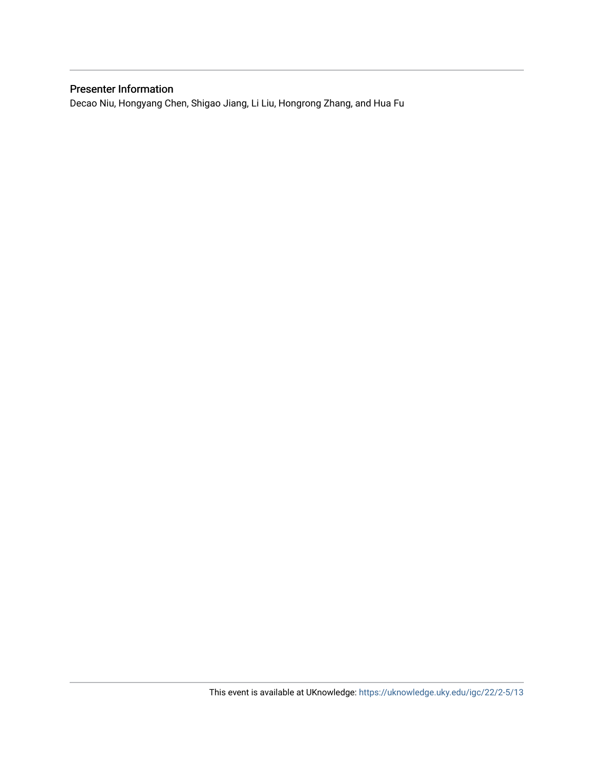### Presenter Information

Decao Niu, Hongyang Chen, Shigao Jiang, Li Liu, Hongrong Zhang, and Hua Fu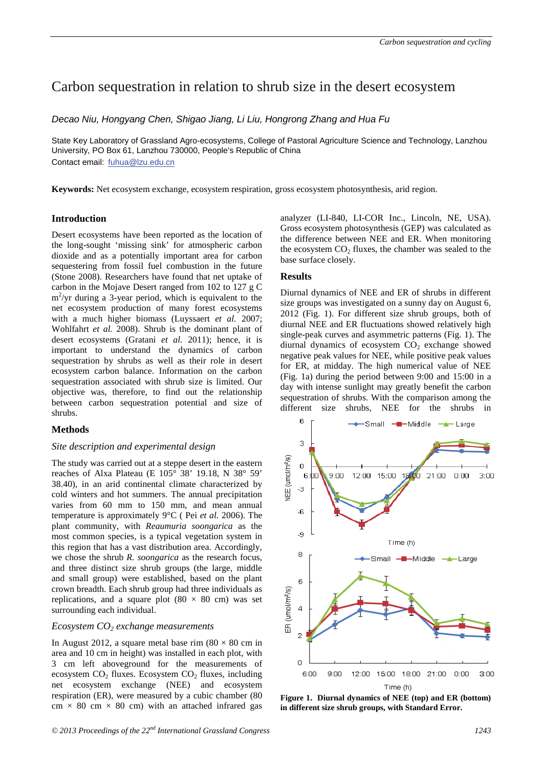## Carbon sequestration in relation to shrub size in the desert ecosystem

*Decao Niu, Hongyang Chen, Shigao Jiang, Li Liu, Hongrong Zhang and Hua Fu* 

State Key Laboratory of Grassland Agro-ecosystems, College of Pastoral Agriculture Science and Technology, Lanzhou University, PO Box 61, Lanzhou 730000, People's Republic of China Contact email: fuhua@lzu.edu.cn

**Keywords:** Net ecosystem exchange, ecosystem respiration, gross ecosystem photosynthesis, arid region.

#### **Introduction**

Desert ecosystems have been reported as the location of the long-sought 'missing sink' for atmospheric carbon dioxide and as a potentially important area for carbon sequestering from fossil fuel combustion in the future (Stone 2008). Researchers have found that net uptake of carbon in the Mojave Desert ranged from 102 to 127 g C  $m^2$ /yr during a 3-year period, which is equivalent to the net ecosystem production of many forest ecosystems with a much higher biomass (Luyssaert *et al.* 2007; Wohlfahrt *et al.* 2008). Shrub is the dominant plant of desert ecosystems (Gratani *et al.* 2011); hence, it is important to understand the dynamics of carbon sequestration by shrubs as well as their role in desert ecosystem carbon balance. Information on the carbon sequestration associated with shrub size is limited. Our objective was, therefore, to find out the relationship between carbon sequestration potential and size of shrubs.

#### **Methods**

#### *Site description and experimental design*

The study was carried out at a steppe desert in the eastern reaches of Alxa Plateau (E 105° 38' 19.18, N 38° 59' 38.40), in an arid continental climate characterized by cold winters and hot summers. The annual precipitation varies from 60 mm to 150 mm, and mean annual temperature is approximately 9°C ( Pei *et al.* 2006). The plant community, with *Reaumuria soongarica* as the most common species, is a typical vegetation system in this region that has a vast distribution area. Accordingly, we chose the shrub *R. soongarica* as the research focus, and three distinct size shrub groups (the large, middle and small group) were established, based on the plant crown breadth. Each shrub group had three individuals as replications, and a square plot  $(80 \times 80 \text{ cm})$  was set surrounding each individual.

#### *Ecosystem CO2 exchange measurements*

In August 2012, a square metal base rim  $(80 \times 80 \text{ cm in}$ area and 10 cm in height) was installed in each plot, with 3 cm left aboveground for the measurements of ecosystem  $CO<sub>2</sub>$  fluxes. Ecosystem  $CO<sub>2</sub>$  fluxes, including net ecosystem exchange (NEE) and ecosystem respiration (ER), were measured by a cubic chamber (80  $cm \times 80$  cm  $\times 80$  cm) with an attached infrared gas

analyzer (LI-840, LI-COR Inc., Lincoln, NE, USA). Gross ecosystem photosynthesis (GEP) was calculated as the difference between NEE and ER. When monitoring the ecosystem  $CO<sub>2</sub>$  fluxes, the chamber was sealed to the base surface closely.

#### **Results**

Diurnal dynamics of NEE and ER of shrubs in different size groups was investigated on a sunny day on August 6, 2012 (Fig. 1). For different size shrub groups, both of diurnal NEE and ER fluctuations showed relatively high single-peak curves and asymmetric patterns (Fig. 1). The diurnal dynamics of ecosystem  $CO<sub>2</sub>$  exchange showed negative peak values for NEE, while positive peak values for ER, at midday. The high numerical value of NEE (Fig. 1a) during the period between 9:00 and 15:00 in a day with intense sunlight may greatly benefit the carbon sequestration of shrubs. With the comparison among the different size shrubs, NEE for the shrubs in



**Figure 1. Diurnal dynamics of NEE (top) and ER (bottom) in different size shrub groups, with Standard Error.**